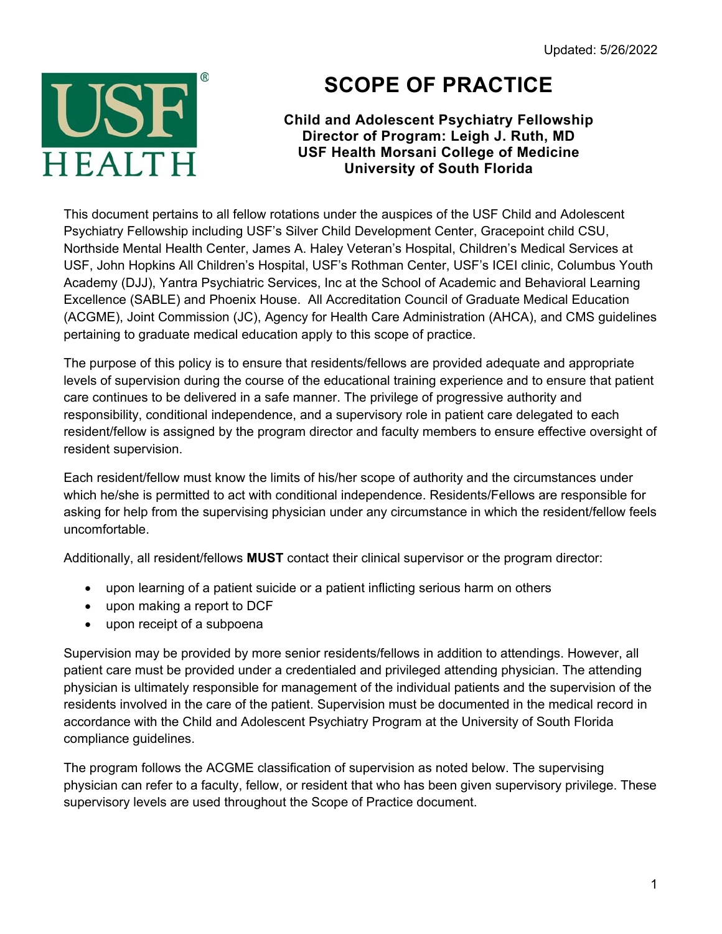

## **SCOPE OF PRACTICE**

## **Child and Adolescent Psychiatry Fellowship Director of Program: Leigh J. Ruth, MD USF Health Morsani College of Medicine University of South Florida**

This document pertains to all fellow rotations under the auspices of the USF Child and Adolescent Psychiatry Fellowship including USF's Silver Child Development Center, Gracepoint child CSU, Northside Mental Health Center, James A. Haley Veteran's Hospital, Children's Medical Services at USF, John Hopkins All Children's Hospital, USF's Rothman Center, USF's ICEI clinic, Columbus Youth Academy (DJJ), Yantra Psychiatric Services, Inc at the School of Academic and Behavioral Learning Excellence (SABLE) and Phoenix House. All Accreditation Council of Graduate Medical Education (ACGME), Joint Commission (JC), Agency for Health Care Administration (AHCA), and CMS guidelines pertaining to graduate medical education apply to this scope of practice.

The purpose of this policy is to ensure that residents/fellows are provided adequate and appropriate levels of supervision during the course of the educational training experience and to ensure that patient care continues to be delivered in a safe manner. The privilege of progressive authority and responsibility, conditional independence, and a supervisory role in patient care delegated to each resident/fellow is assigned by the program director and faculty members to ensure effective oversight of resident supervision.

Each resident/fellow must know the limits of his/her scope of authority and the circumstances under which he/she is permitted to act with conditional independence. Residents/Fellows are responsible for asking for help from the supervising physician under any circumstance in which the resident/fellow feels uncomfortable.

Additionally, all resident/fellows **MUST** contact their clinical supervisor or the program director:

- upon learning of a patient suicide or a patient inflicting serious harm on others
- upon making a report to DCF
- upon receipt of a subpoena

Supervision may be provided by more senior residents/fellows in addition to attendings. However, all patient care must be provided under a credentialed and privileged attending physician. The attending physician is ultimately responsible for management of the individual patients and the supervision of the residents involved in the care of the patient. Supervision must be documented in the medical record in accordance with the Child and Adolescent Psychiatry Program at the University of South Florida compliance guidelines.

The program follows the ACGME classification of supervision as noted below. The supervising physician can refer to a faculty, fellow, or resident that who has been given supervisory privilege. These supervisory levels are used throughout the Scope of Practice document.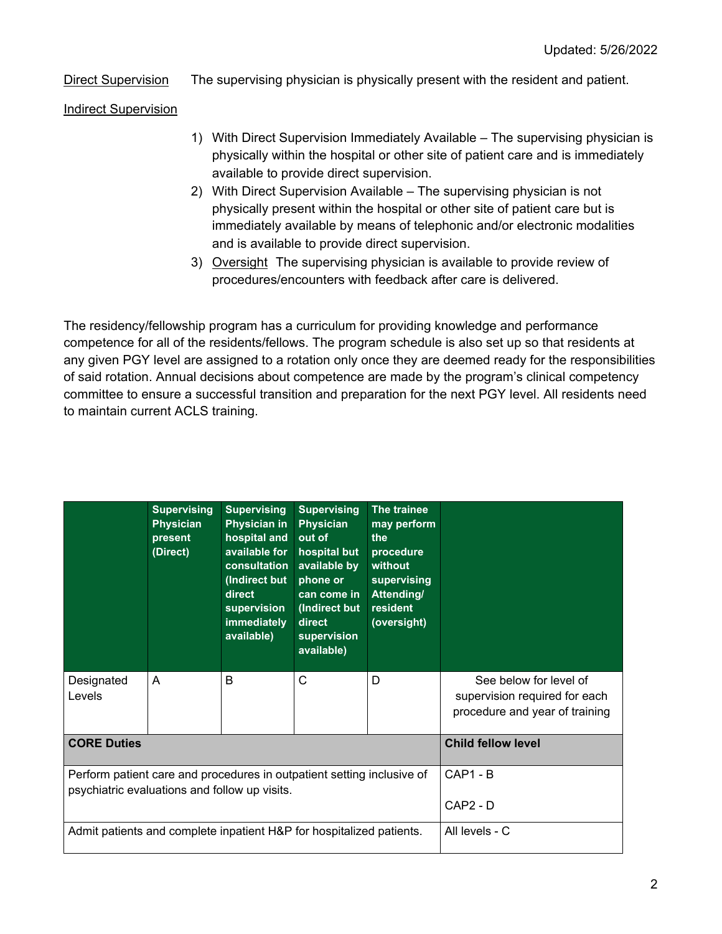Direct Supervision The supervising physician is physically present with the resident and patient.

Indirect Supervision

- 1) With Direct Supervision Immediately Available The supervising physician is physically within the hospital or other site of patient care and is immediately available to provide direct supervision.
- 2) With Direct Supervision Available The supervising physician is not physically present within the hospital or other site of patient care but is immediately available by means of telephonic and/or electronic modalities and is available to provide direct supervision.
- 3) Oversight The supervising physician is available to provide review of procedures/encounters with feedback after care is delivered.

The residency/fellowship program has a curriculum for providing knowledge and performance competence for all of the residents/fellows. The program schedule is also set up so that residents at any given PGY level are assigned to a rotation only once they are deemed ready for the responsibilities of said rotation. Annual decisions about competence are made by the program's clinical competency committee to ensure a successful transition and preparation for the next PGY level. All residents need to maintain current ACLS training.

|                                                                                                                         | <b>Supervising</b><br><b>Physician</b><br>present<br>(Direct) | <b>Supervising</b><br><b>Physician in</b><br>hospital and<br>available for<br>consultation<br>(Indirect but<br>direct<br>supervision<br>immediately<br>available) | <b>Supervising</b><br><b>Physician</b><br>out of<br>hospital but<br>available by<br>phone or<br>can come in<br>(Indirect but<br>direct<br>supervision<br>available) | The trainee<br>may perform<br>the<br>procedure<br>without<br>supervising<br>Attending/<br>resident<br>(oversight) |                                                                                           |
|-------------------------------------------------------------------------------------------------------------------------|---------------------------------------------------------------|-------------------------------------------------------------------------------------------------------------------------------------------------------------------|---------------------------------------------------------------------------------------------------------------------------------------------------------------------|-------------------------------------------------------------------------------------------------------------------|-------------------------------------------------------------------------------------------|
| Designated<br>Levels                                                                                                    | A                                                             | B                                                                                                                                                                 | C                                                                                                                                                                   | D                                                                                                                 | See below for level of<br>supervision required for each<br>procedure and year of training |
| <b>CORE Duties</b>                                                                                                      |                                                               |                                                                                                                                                                   |                                                                                                                                                                     |                                                                                                                   | <b>Child fellow level</b>                                                                 |
| Perform patient care and procedures in outpatient setting inclusive of<br>psychiatric evaluations and follow up visits. |                                                               |                                                                                                                                                                   |                                                                                                                                                                     |                                                                                                                   | CAP1 - B                                                                                  |
|                                                                                                                         |                                                               |                                                                                                                                                                   |                                                                                                                                                                     |                                                                                                                   | CAP2 - D                                                                                  |
| Admit patients and complete inpatient H&P for hospitalized patients.                                                    |                                                               |                                                                                                                                                                   |                                                                                                                                                                     |                                                                                                                   | All levels - C                                                                            |